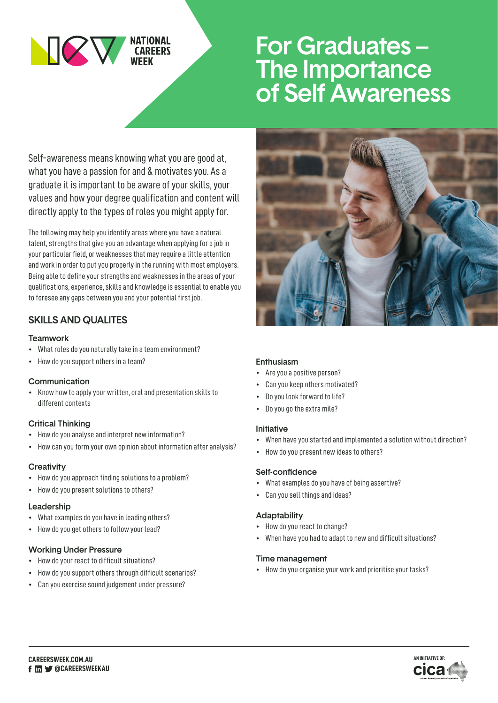

# For Graduates – The Importance of Self Awareness

Self-awareness means knowing what you are good at, what you have a passion for and & motivates you. As a graduate it is important to be aware of your skills, your values and how your degree qualification and content will directly apply to the types of roles you might apply for.

The following may help you identify areas where you have a natural talent, strengths that give you an advantage when applying for a job in your particular field, or weaknesses that may require a little attention and work in order to put you properly in the running with most employers. Being able to define your strengths and weaknesses in the areas of your qualifications, experience, skills and knowledge is essential to enable you to foresee any gaps between you and your potential first job.

# SKILLS AND QUALITES

#### Teamwork

- What roles do you naturally take in a team environment?
- How do you support others in a team?

## Communication

• Know how to apply your written, oral and presentation skills to different contexts

## Critical Thinking

- How do you analyse and interpret new information?
- How can you form your own opinion about information after analysis?

## **Creativity**

- How do you approach finding solutions to a problem?
- How do you present solutions to others?

# Leadership

- What examples do you have in leading others?
- How do you get others to follow your lead?

# Working Under Pressure

- How do your react to difficult situations?
- How do you support others through difficult scenarios?
- Can you exercise sound judgement under pressure?



#### Enthusiasm

- Are you a positive person?
- Can you keep others motivated?
- Do you look forward to life?
- Do you go the extra mile?

#### Initiative

- When have you started and implemented a solution without direction?
- How do you present new ideas to others?

## Self-confidence

- What examples do you have of being assertive?
- Can you sell things and ideas?

## Adaptability

- How do you react to change?
- When have you had to adapt to new and difficult situations?

## Time management

• How do you organise your work and prioritise your tasks?